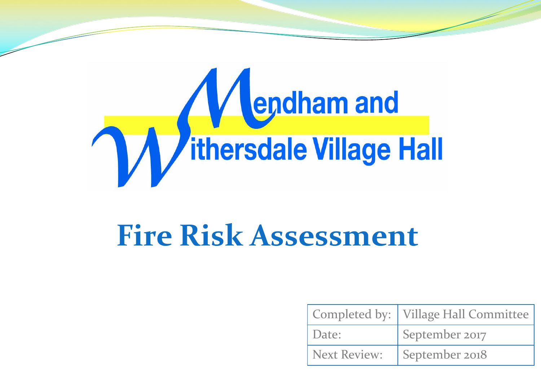

# **Fire Risk Assessment**

|                     | Completed by:   Village Hall Committee |
|---------------------|----------------------------------------|
| Date:               | September 2017                         |
| <b>Next Review:</b> | September 2018                         |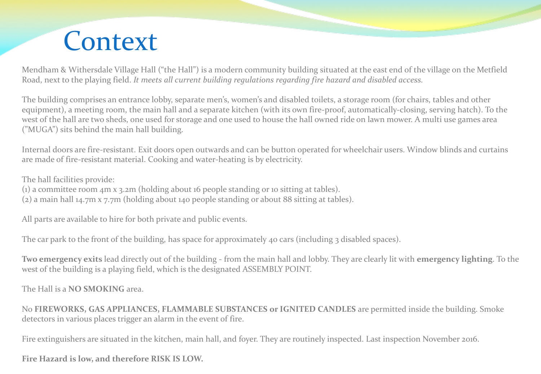#### **Context**

Mendham & Withersdale Village Hall ("the Hall") is a modern community building situated at the east end of the village on the Metfield Road, next to the playing field. *It meets all current building regulations regarding fire hazard and disabled access.*

The building comprises an entrance lobby, separate men's, women's and disabled toilets, a storage room (for chairs, tables and other equipment), a meeting room, the main hall and a separate kitchen (with its own fire-proof, automatically-closing, serving hatch). To the west of the hall are two sheds, one used for storage and one used to house the hall owned ride on lawn mower. A multi use games area ("MUGA") sits behind the main hall building.

Internal doors are fire-resistant. Exit doors open outwards and can be button operated for wheelchair users. Window blinds and curtains are made of fire-resistant material. Cooking and water-heating is by electricity.

The hall facilities provide:

(1) a committee room 4m x 3.2m (holding about 16 people standing or 10 sitting at tables).

(2) a main hall 14.7m x 7.7m (holding about 140 people standing or about 88 sitting at tables).

All parts are available to hire for both private and public events.

The car park to the front of the building, has space for approximately 40 cars (including 3 disabled spaces).

**Two emergency exits** lead directly out of the building - from the main hall and lobby. They are clearly lit with **emergency lighting**. To the west of the building is a playing field, which is the designated ASSEMBLY POINT.

The Hall is a **NO SMOKING** area.

No **FIREWORKS, GAS APPLIANCES, FLAMMABLE SUBSTANCES or IGNITED CANDLES** are permitted inside the building. Smoke detectors in various places trigger an alarm in the event of fire.

Fire extinguishers are situated in the kitchen, main hall, and foyer. They are routinely inspected. Last inspection November 2016.

**Fire Hazard is low, and therefore RISK IS LOW.**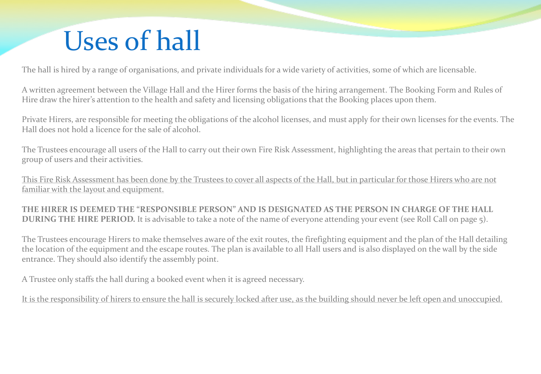## Uses of hall

The hall is hired by a range of organisations, and private individuals for a wide variety of activities, some of which are licensable.

A written agreement between the Village Hall and the Hirer forms the basis of the hiring arrangement. The Booking Form and Rules of Hire draw the hirer's attention to the health and safety and licensing obligations that the Booking places upon them.

Private Hirers, are responsible for meeting the obligations of the alcohol licenses, and must apply for their own licenses for the events. The Hall does not hold a licence for the sale of alcohol.

The Trustees encourage all users of the Hall to carry out their own Fire Risk Assessment, highlighting the areas that pertain to their own group of users and their activities.

This Fire Risk Assessment has been done by the Trustees to cover all aspects of the Hall, but in particular for those Hirers who are not familiar with the layout and equipment.

**THE HIRER IS DEEMED THE "RESPONSIBLE PERSON" AND IS DESIGNATED AS THE PERSON IN CHARGE OF THE HALL DURING THE HIRE PERIOD.** It is advisable to take a note of the name of everyone attending your event (see Roll Call on page 5).

The Trustees encourage Hirers to make themselves aware of the exit routes, the firefighting equipment and the plan of the Hall detailing the location of the equipment and the escape routes. The plan is available to all Hall users and is also displayed on the wall by the side entrance. They should also identify the assembly point.

A Trustee only staffs the hall during a booked event when it is agreed necessary.

It is the responsibility of hirers to ensure the hall is securely locked after use, as the building should never be left open and unoccupied.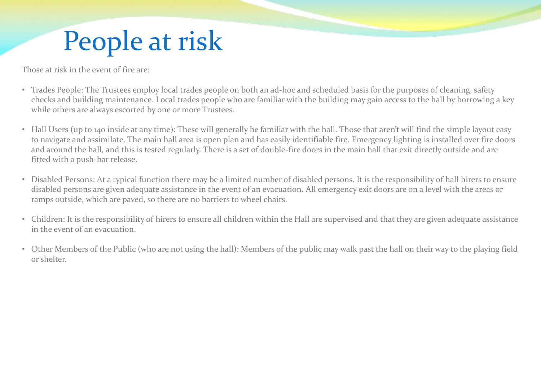## People at risk

Those at risk in the event of fire are:

- Trades People: The Trustees employ local trades people on both an ad-hoc and scheduled basis for the purposes of cleaning, safety checks and building maintenance. Local trades people who are familiar with the building may gain access to the hall by borrowing a key while others are always escorted by one or more Trustees.
- Hall Users (up to 140 inside at any time): These will generally be familiar with the hall. Those that aren't will find the simple layout easy to navigate and assimilate. The main hall area is open plan and has easily identifiable fire. Emergency lighting is installed over fire doors and around the hall, and this is tested regularly. There is a set of double-fire doors in the main hall that exit directly outside and are fitted with a push-bar release.
- Disabled Persons: At a typical function there may be a limited number of disabled persons. It is the responsibility of hall hirers to ensure disabled persons are given adequate assistance in the event of an evacuation. All emergency exit doors are on a level with the areas or ramps outside, which are paved, so there are no barriers to wheel chairs.
- Children: It is the responsibility of hirers to ensure all children within the Hall are supervised and that they are given adequate assistance in the event of an evacuation.
- Other Members of the Public (who are not using the hall): Members of the public may walk past the hall on their way to the playing field or shelter.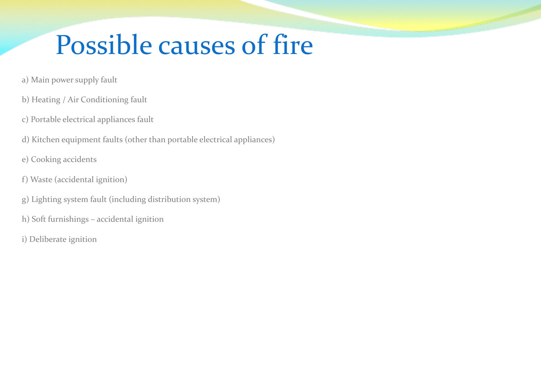## Possible causes of fire

- a) Main power supply fault
- b) Heating / Air Conditioning fault
- c) Portable electrical appliances fault
- d) Kitchen equipment faults (other than portable electrical appliances)
- e) Cooking accidents
- f) Waste (accidental ignition)
- g) Lighting system fault (including distribution system)
- h) Soft furnishings accidental ignition
- i) Deliberate ignition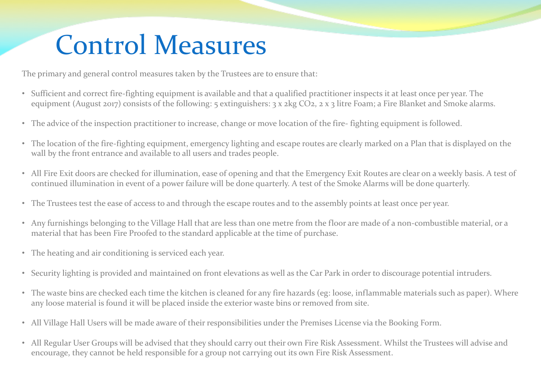### Control Measures

The primary and general control measures taken by the Trustees are to ensure that:

- Sufficient and correct fire-fighting equipment is available and that a qualified practitioner inspects it at least once per year. The equipment (August 2017) consists of the following: 5 extinguishers: 3 x 2kg CO2, 2 x 3 litre Foam; a Fire Blanket and Smoke alarms.
- The advice of the inspection practitioner to increase, change or move location of the fire- fighting equipment is followed.
- The location of the fire-fighting equipment, emergency lighting and escape routes are clearly marked on a Plan that is displayed on the wall by the front entrance and available to all users and trades people.
- All Fire Exit doors are checked for illumination, ease of opening and that the Emergency Exit Routes are clear on a weekly basis. A test of continued illumination in event of a power failure will be done quarterly. A test of the Smoke Alarms will be done quarterly.
- The Trustees test the ease of access to and through the escape routes and to the assembly points at least once per year.
- Any furnishings belonging to the Village Hall that are less than one metre from the floor are made of a non-combustible material, or a material that has been Fire Proofed to the standard applicable at the time of purchase.
- The heating and air conditioning is serviced each year.
- Security lighting is provided and maintained on front elevations as well as the Car Park in order to discourage potential intruders.
- The waste bins are checked each time the kitchen is cleaned for any fire hazards (eg: loose, inflammable materials such as paper). Where any loose material is found it will be placed inside the exterior waste bins or removed from site.
- All Village Hall Users will be made aware of their responsibilities under the Premises License via the Booking Form.
- All Regular User Groups will be advised that they should carry out their own Fire Risk Assessment. Whilst the Trustees will advise and encourage, they cannot be held responsible for a group not carrying out its own Fire Risk Assessment.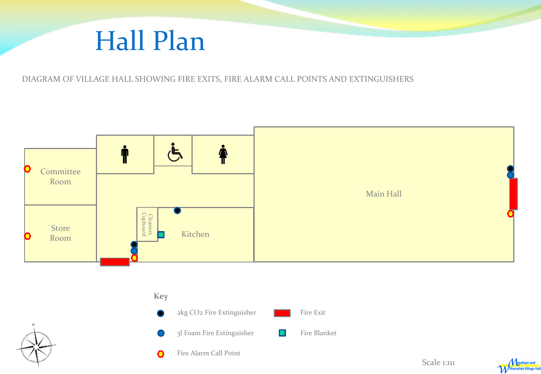#### Hall Plan

DIAGRAM OF VILLAGE HALL SHOWING FIRE EXITS, FIRE ALARM CALL POINTS AND EXTINGUISHERS